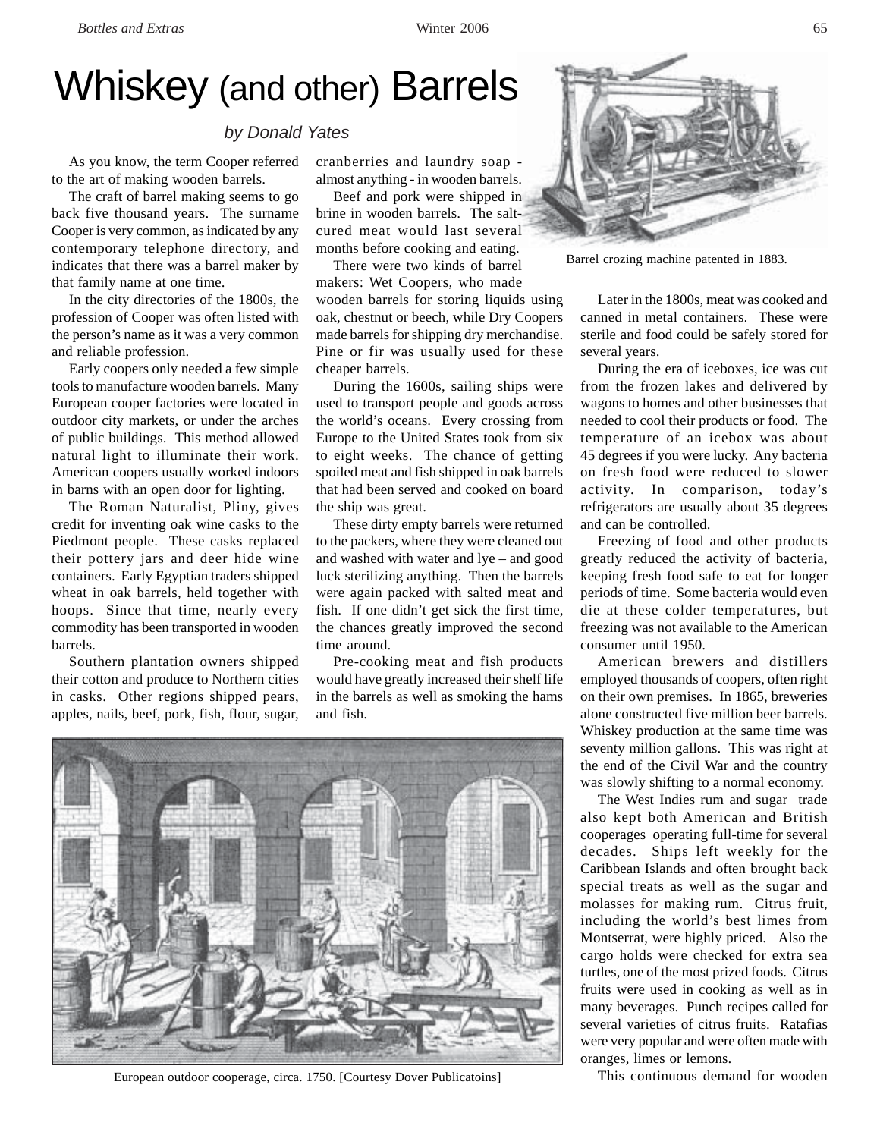# Whiskey (and other) Barrels

# *by Donald Yates*

As you know, the term Cooper referred to the art of making wooden barrels.

The craft of barrel making seems to go back five thousand years. The surname Cooper is very common, as indicated by any contemporary telephone directory, and indicates that there was a barrel maker by that family name at one time.

In the city directories of the 1800s, the profession of Cooper was often listed with the person's name as it was a very common and reliable profession.

Early coopers only needed a few simple tools to manufacture wooden barrels. Many European cooper factories were located in outdoor city markets, or under the arches of public buildings. This method allowed natural light to illuminate their work. American coopers usually worked indoors in barns with an open door for lighting.

The Roman Naturalist, Pliny, gives credit for inventing oak wine casks to the Piedmont people. These casks replaced their pottery jars and deer hide wine containers. Early Egyptian traders shipped wheat in oak barrels, held together with hoops. Since that time, nearly every commodity has been transported in wooden barrels.

Southern plantation owners shipped their cotton and produce to Northern cities in casks. Other regions shipped pears, apples, nails, beef, pork, fish, flour, sugar,

cranberries and laundry soap almost anything - in wooden barrels.

Beef and pork were shipped in brine in wooden barrels. The saltcured meat would last several months before cooking and eating.

There were two kinds of barrel makers: Wet Coopers, who made wooden barrels for storing liquids using oak, chestnut or beech, while Dry Coopers made barrels for shipping dry merchandise. Pine or fir was usually used for these cheaper barrels.

During the 1600s, sailing ships were used to transport people and goods across the world's oceans. Every crossing from Europe to the United States took from six to eight weeks. The chance of getting spoiled meat and fish shipped in oak barrels that had been served and cooked on board the ship was great.

These dirty empty barrels were returned to the packers, where they were cleaned out and washed with water and lye – and good luck sterilizing anything. Then the barrels were again packed with salted meat and fish. If one didn't get sick the first time, the chances greatly improved the second time around.

Pre-cooking meat and fish products would have greatly increased their shelf life in the barrels as well as smoking the hams and fish.



European outdoor cooperage, circa. 1750. [Courtesy Dover Publicatoins]



Barrel crozing machine patented in 1883.

Later in the 1800s, meat was cooked and canned in metal containers. These were sterile and food could be safely stored for several years.

During the era of iceboxes, ice was cut from the frozen lakes and delivered by wagons to homes and other businesses that needed to cool their products or food. The temperature of an icebox was about 45 degrees if you were lucky. Any bacteria on fresh food were reduced to slower activity. In comparison, today's refrigerators are usually about 35 degrees and can be controlled.

Freezing of food and other products greatly reduced the activity of bacteria, keeping fresh food safe to eat for longer periods of time. Some bacteria would even die at these colder temperatures, but freezing was not available to the American consumer until 1950.

American brewers and distillers employed thousands of coopers, often right on their own premises. In 1865, breweries alone constructed five million beer barrels. Whiskey production at the same time was seventy million gallons. This was right at the end of the Civil War and the country was slowly shifting to a normal economy.

The West Indies rum and sugar trade also kept both American and British cooperages operating full-time for several decades. Ships left weekly for the Caribbean Islands and often brought back special treats as well as the sugar and molasses for making rum. Citrus fruit, including the world's best limes from Montserrat, were highly priced. Also the cargo holds were checked for extra sea turtles, one of the most prized foods. Citrus fruits were used in cooking as well as in many beverages. Punch recipes called for several varieties of citrus fruits. Ratafias were very popular and were often made with oranges, limes or lemons.

This continuous demand for wooden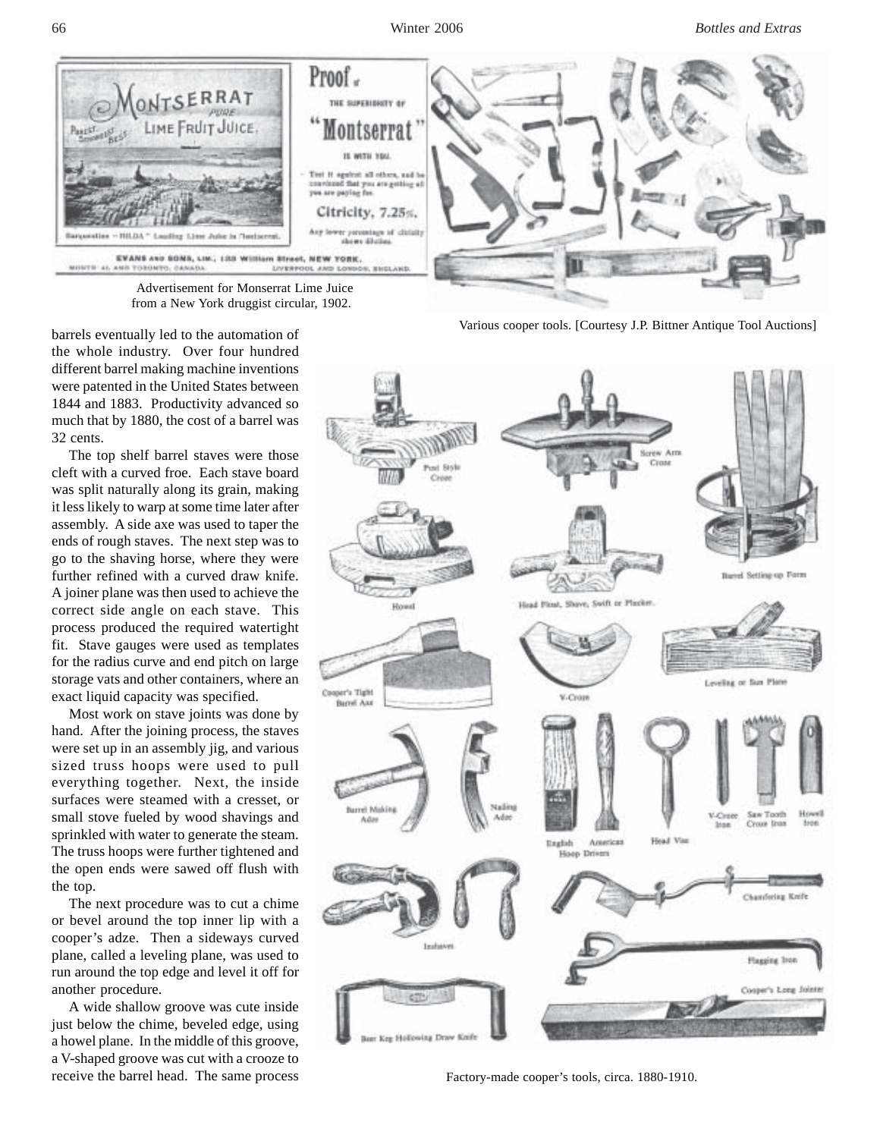66 Winter 2006 *Bottles and Extras*



 Advertisement for Monserrat Lime Juice from a New York druggist circular, 1902.

barrels eventually led to the automation of the whole industry. Over four hundred different barrel making machine inventions were patented in the United States between 1844 and 1883. Productivity advanced so much that by 1880, the cost of a barrel was 32 cents.

The top shelf barrel staves were those cleft with a curved froe. Each stave board was split naturally along its grain, making it less likely to warp at some time later after assembly. A side axe was used to taper the ends of rough staves. The next step was to go to the shaving horse, where they were further refined with a curved draw knife. A joiner plane was then used to achieve the correct side angle on each stave. This process produced the required watertight fit. Stave gauges were used as templates for the radius curve and end pitch on large storage vats and other containers, where an exact liquid capacity was specified.

Most work on stave joints was done by hand. After the joining process, the staves were set up in an assembly jig, and various sized truss hoops were used to pull everything together. Next, the inside surfaces were steamed with a cresset, or small stove fueled by wood shavings and sprinkled with water to generate the steam. The truss hoops were further tightened and the open ends were sawed off flush with the top.

The next procedure was to cut a chime or bevel around the top inner lip with a cooper's adze. Then a sideways curved plane, called a leveling plane, was used to run around the top edge and level it off for another procedure.

A wide shallow groove was cute inside just below the chime, beveled edge, using a howel plane. In the middle of this groove, a V-shaped groove was cut with a crooze to receive the barrel head. The same process Various cooper tools. [Courtesy J.P. Bittner Antique Tool Auctions]



Factory-made cooper's tools, circa. 1880-1910.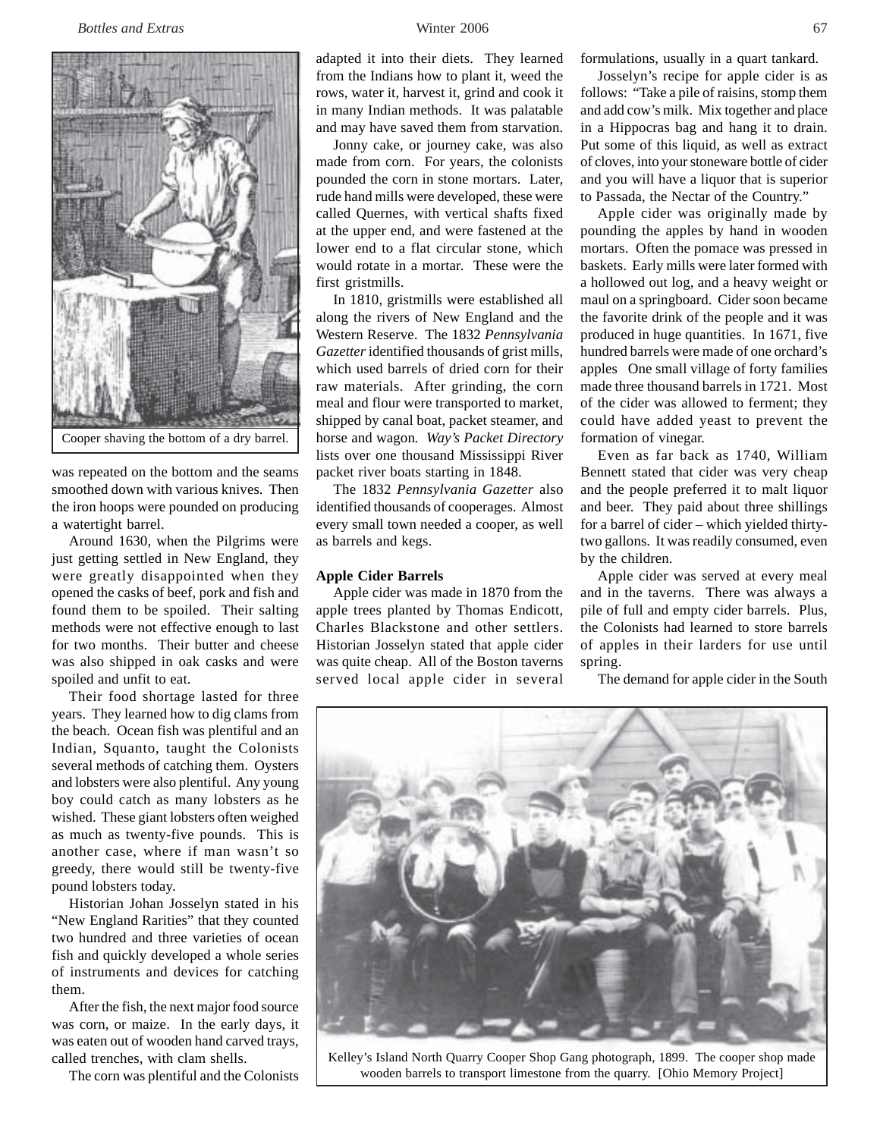

was repeated on the bottom and the seams smoothed down with various knives. Then the iron hoops were pounded on producing a watertight barrel.

Around 1630, when the Pilgrims were just getting settled in New England, they were greatly disappointed when they opened the casks of beef, pork and fish and found them to be spoiled. Their salting methods were not effective enough to last for two months. Their butter and cheese was also shipped in oak casks and were spoiled and unfit to eat.

Their food shortage lasted for three years. They learned how to dig clams from the beach. Ocean fish was plentiful and an Indian, Squanto, taught the Colonists several methods of catching them. Oysters and lobsters were also plentiful. Any young boy could catch as many lobsters as he wished. These giant lobsters often weighed as much as twenty-five pounds. This is another case, where if man wasn't so greedy, there would still be twenty-five pound lobsters today.

Historian Johan Josselyn stated in his "New England Rarities" that they counted two hundred and three varieties of ocean fish and quickly developed a whole series of instruments and devices for catching them.

After the fish, the next major food source was corn, or maize. In the early days, it was eaten out of wooden hand carved trays, called trenches, with clam shells.

The corn was plentiful and the Colonists

adapted it into their diets. They learned from the Indians how to plant it, weed the rows, water it, harvest it, grind and cook it in many Indian methods. It was palatable and may have saved them from starvation.

Jonny cake, or journey cake, was also made from corn. For years, the colonists pounded the corn in stone mortars. Later, rude hand mills were developed, these were called Quernes, with vertical shafts fixed at the upper end, and were fastened at the lower end to a flat circular stone, which would rotate in a mortar. These were the first gristmills.

In 1810, gristmills were established all along the rivers of New England and the Western Reserve. The 1832 *Pennsylvania Gazetter* identified thousands of grist mills, which used barrels of dried corn for their raw materials. After grinding, the corn meal and flour were transported to market, shipped by canal boat, packet steamer, and horse and wagon*. Way's Packet Directory* lists over one thousand Mississippi River packet river boats starting in 1848.

The 1832 *Pennsylvania Gazetter* also identified thousands of cooperages. Almost every small town needed a cooper, as well as barrels and kegs.

## **Apple Cider Barrels**

Apple cider was made in 1870 from the apple trees planted by Thomas Endicott, Charles Blackstone and other settlers. Historian Josselyn stated that apple cider was quite cheap. All of the Boston taverns served local apple cider in several formulations, usually in a quart tankard.

Josselyn's recipe for apple cider is as follows: "Take a pile of raisins, stomp them and add cow's milk. Mix together and place in a Hippocras bag and hang it to drain. Put some of this liquid, as well as extract of cloves, into your stoneware bottle of cider and you will have a liquor that is superior to Passada, the Nectar of the Country."

Apple cider was originally made by pounding the apples by hand in wooden mortars. Often the pomace was pressed in baskets. Early mills were later formed with a hollowed out log, and a heavy weight or maul on a springboard. Cider soon became the favorite drink of the people and it was produced in huge quantities. In 1671, five hundred barrels were made of one orchard's apples One small village of forty families made three thousand barrels in 1721. Most of the cider was allowed to ferment; they could have added yeast to prevent the formation of vinegar.

Even as far back as 1740, William Bennett stated that cider was very cheap and the people preferred it to malt liquor and beer. They paid about three shillings for a barrel of cider – which yielded thirtytwo gallons. It was readily consumed, even by the children.

Apple cider was served at every meal and in the taverns. There was always a pile of full and empty cider barrels. Plus, the Colonists had learned to store barrels of apples in their larders for use until spring.

The demand for apple cider in the South



Kelley's Island North Quarry Cooper Shop Gang photograph, 1899. The cooper shop made wooden barrels to transport limestone from the quarry. [Ohio Memory Project]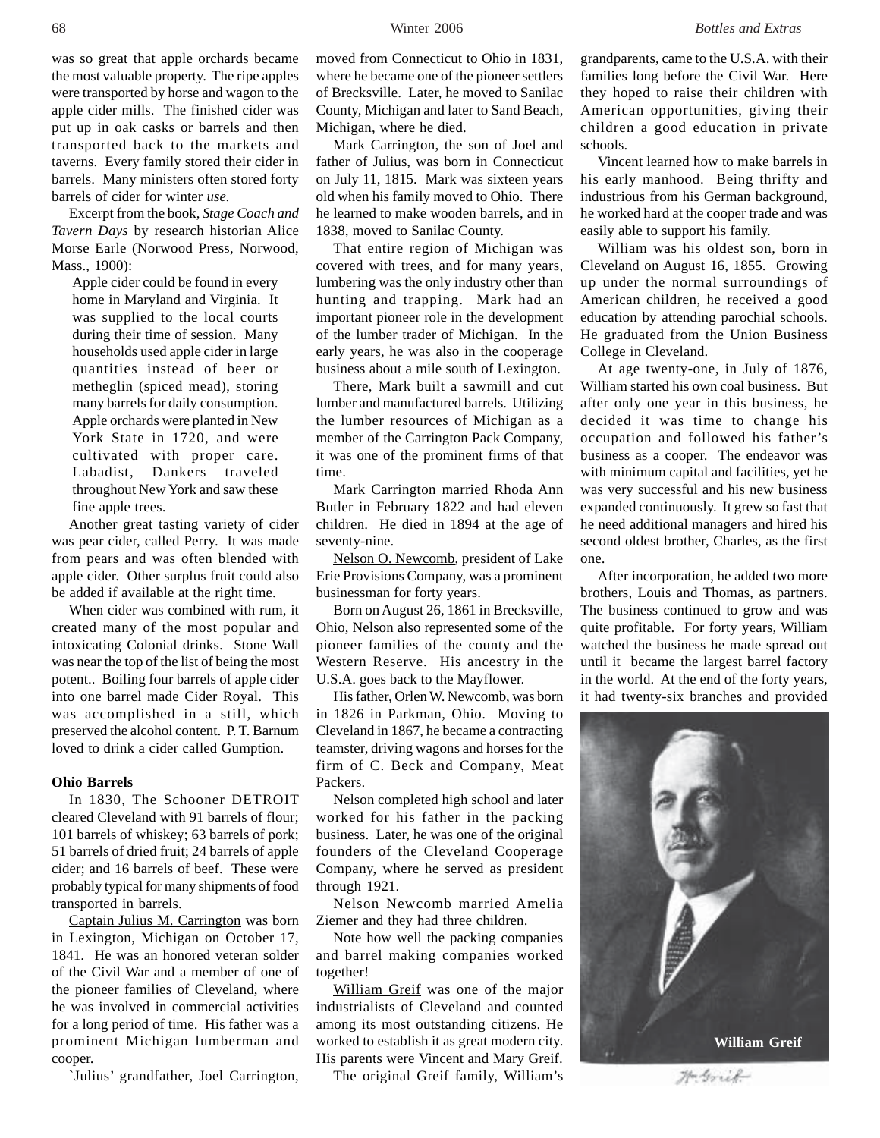was so great that apple orchards became the most valuable property. The ripe apples were transported by horse and wagon to the apple cider mills. The finished cider was put up in oak casks or barrels and then transported back to the markets and taverns. Every family stored their cider in barrels. Many ministers often stored forty barrels of cider for winter *use.*

Excerpt from the book, *Stage Coach and Tavern Days* by research historian Alice Morse Earle (Norwood Press, Norwood, Mass., 1900):

Apple cider could be found in every home in Maryland and Virginia. It was supplied to the local courts during their time of session. Many households used apple cider in large quantities instead of beer or metheglin (spiced mead), storing many barrels for daily consumption. Apple orchards were planted in New York State in 1720, and were cultivated with proper care. Labadist, Dankers traveled throughout New York and saw these fine apple trees.

Another great tasting variety of cider was pear cider, called Perry. It was made from pears and was often blended with apple cider. Other surplus fruit could also be added if available at the right time.

When cider was combined with rum, it created many of the most popular and intoxicating Colonial drinks. Stone Wall was near the top of the list of being the most potent.. Boiling four barrels of apple cider into one barrel made Cider Royal. This was accomplished in a still, which preserved the alcohol content. P. T. Barnum loved to drink a cider called Gumption.

### **Ohio Barrels**

In 1830, The Schooner DETROIT cleared Cleveland with 91 barrels of flour; 101 barrels of whiskey; 63 barrels of pork; 51 barrels of dried fruit; 24 barrels of apple cider; and 16 barrels of beef. These were probably typical for many shipments of food transported in barrels.

Captain Julius M. Carrington was born in Lexington, Michigan on October 17, 1841. He was an honored veteran solder of the Civil War and a member of one of the pioneer families of Cleveland, where he was involved in commercial activities for a long period of time. His father was a prominent Michigan lumberman and cooper.

`Julius' grandfather, Joel Carrington,

moved from Connecticut to Ohio in 1831, where he became one of the pioneer settlers of Brecksville. Later, he moved to Sanilac County, Michigan and later to Sand Beach, Michigan, where he died.

Mark Carrington, the son of Joel and father of Julius, was born in Connecticut on July 11, 1815. Mark was sixteen years old when his family moved to Ohio. There he learned to make wooden barrels, and in 1838, moved to Sanilac County.

That entire region of Michigan was covered with trees, and for many years, lumbering was the only industry other than hunting and trapping. Mark had an important pioneer role in the development of the lumber trader of Michigan. In the early years, he was also in the cooperage business about a mile south of Lexington.

There, Mark built a sawmill and cut lumber and manufactured barrels. Utilizing the lumber resources of Michigan as a member of the Carrington Pack Company, it was one of the prominent firms of that time.

Mark Carrington married Rhoda Ann Butler in February 1822 and had eleven children. He died in 1894 at the age of seventy-nine.

Nelson O. Newcomb, president of Lake Erie Provisions Company, was a prominent businessman for forty years.

Born on August 26, 1861 in Brecksville, Ohio, Nelson also represented some of the pioneer families of the county and the Western Reserve. His ancestry in the U.S.A. goes back to the Mayflower.

His father, Orlen W. Newcomb, was born in 1826 in Parkman, Ohio. Moving to Cleveland in 1867, he became a contracting teamster, driving wagons and horses for the firm of C. Beck and Company, Meat Packers.

Nelson completed high school and later worked for his father in the packing business. Later, he was one of the original founders of the Cleveland Cooperage Company, where he served as president through 1921.

Nelson Newcomb married Amelia Ziemer and they had three children.

Note how well the packing companies and barrel making companies worked together!

William Greif was one of the major industrialists of Cleveland and counted among its most outstanding citizens. He worked to establish it as great modern city. His parents were Vincent and Mary Greif.

The original Greif family, William's

grandparents, came to the U.S.A. with their families long before the Civil War. Here they hoped to raise their children with American opportunities, giving their children a good education in private schools.

Vincent learned how to make barrels in his early manhood. Being thrifty and industrious from his German background, he worked hard at the cooper trade and was easily able to support his family.

William was his oldest son, born in Cleveland on August 16, 1855. Growing up under the normal surroundings of American children, he received a good education by attending parochial schools. He graduated from the Union Business College in Cleveland.

At age twenty-one, in July of 1876, William started his own coal business. But after only one year in this business, he decided it was time to change his occupation and followed his father's business as a cooper. The endeavor was with minimum capital and facilities, yet he was very successful and his new business expanded continuously. It grew so fast that he need additional managers and hired his second oldest brother, Charles, as the first one.

After incorporation, he added two more brothers, Louis and Thomas, as partners. The business continued to grow and was quite profitable. For forty years, William watched the business he made spread out until it became the largest barrel factory in the world. At the end of the forty years, it had twenty-six branches and provided



Ma Griel-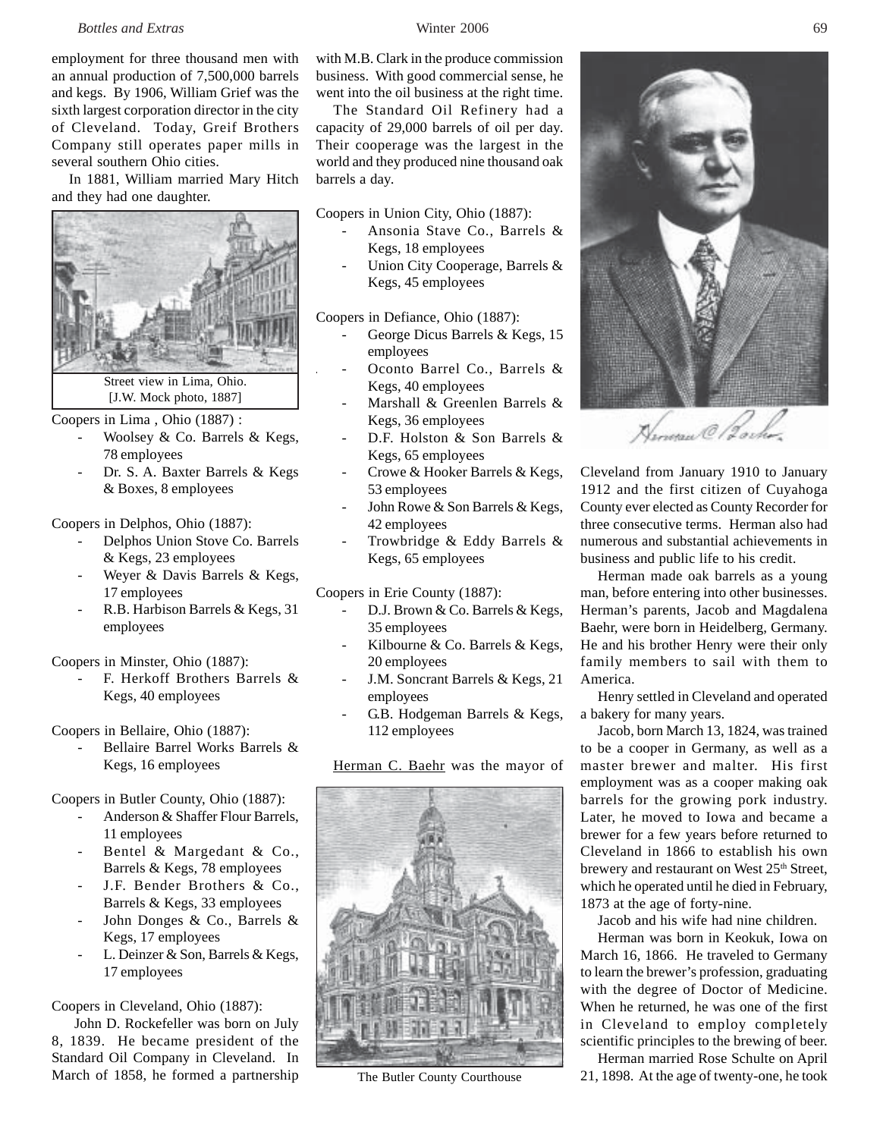employment for three thousand men with an annual production of 7,500,000 barrels and kegs. By 1906, William Grief was the sixth largest corporation director in the city of Cleveland. Today, Greif Brothers Company still operates paper mills in several southern Ohio cities.

In 1881, William married Mary Hitch and they had one daughter.



Coopers in Lima , Ohio (1887) :

- Woolsey & Co. Barrels & Kegs, 78 employees
- Dr. S. A. Baxter Barrels & Kegs & Boxes, 8 employees

Coopers in Delphos, Ohio (1887):

- Delphos Union Stove Co. Barrels & Kegs, 23 employees
- Weyer & Davis Barrels & Kegs, 17 employees
- R.B. Harbison Barrels & Kegs, 31 employees

Coopers in Minster, Ohio (1887):

F. Herkoff Brothers Barrels & Kegs, 40 employees

Coopers in Bellaire, Ohio (1887):

Bellaire Barrel Works Barrels & Kegs, 16 employees

Coopers in Butler County, Ohio (1887):

- Anderson & Shaffer Flour Barrels, 11 employees
- Bentel & Margedant & Co., Barrels & Kegs, 78 employees
- J.F. Bender Brothers & Co., Barrels & Kegs, 33 employees
- John Donges & Co., Barrels & Kegs, 17 employees
- L. Deinzer & Son, Barrels & Kegs, 17 employees

Coopers in Cleveland, Ohio (1887):

 John D. Rockefeller was born on July 8, 1839. He became president of the Standard Oil Company in Cleveland. In March of 1858, he formed a partnership

with M.B. Clark in the produce commission business. With good commercial sense, he went into the oil business at the right time.

The Standard Oil Refinery had a capacity of 29,000 barrels of oil per day. Their cooperage was the largest in the world and they produced nine thousand oak barrels a day.

Coopers in Union City, Ohio (1887):

- Ansonia Stave Co., Barrels & Kegs, 18 employees
- Union City Cooperage, Barrels & Kegs, 45 employees

Coopers in Defiance, Ohio (1887):

- George Dicus Barrels & Kegs, 15 employees
- Oconto Barrel Co., Barrels & Kegs, 40 employees
- Marshall & Greenlen Barrels & Kegs, 36 employees
- D.F. Holston & Son Barrels & Kegs, 65 employees
- Crowe & Hooker Barrels & Kegs, 53 employees
- John Rowe & Son Barrels & Kegs, 42 employees
- Trowbridge & Eddy Barrels & Kegs, 65 employees

Coopers in Erie County (1887):

- D.J. Brown & Co. Barrels & Kegs, 35 employees
- Kilbourne & Co. Barrels & Kegs, 20 employees
- J.M. Soncrant Barrels & Kegs, 21 employees
- G.B. Hodgeman Barrels & Kegs, 112 employees

Herman C. Baehr was the mayor of



The Butler County Courthouse



Cleveland from January 1910 to January 1912 and the first citizen of Cuyahoga County ever elected as County Recorder for three consecutive terms. Herman also had numerous and substantial achievements in business and public life to his credit.

Herman made oak barrels as a young man, before entering into other businesses. Herman's parents, Jacob and Magdalena Baehr, were born in Heidelberg, Germany. He and his brother Henry were their only family members to sail with them to America.

Henry settled in Cleveland and operated a bakery for many years.

Jacob, born March 13, 1824, was trained to be a cooper in Germany, as well as a master brewer and malter. His first employment was as a cooper making oak barrels for the growing pork industry. Later, he moved to Iowa and became a brewer for a few years before returned to Cleveland in 1866 to establish his own brewery and restaurant on West 25<sup>th</sup> Street, which he operated until he died in February, 1873 at the age of forty-nine.

Jacob and his wife had nine children.

Herman was born in Keokuk, Iowa on March 16, 1866. He traveled to Germany to learn the brewer's profession, graduating with the degree of Doctor of Medicine. When he returned, he was one of the first in Cleveland to employ completely scientific principles to the brewing of beer.

Herman married Rose Schulte on April 21, 1898. At the age of twenty-one, he took